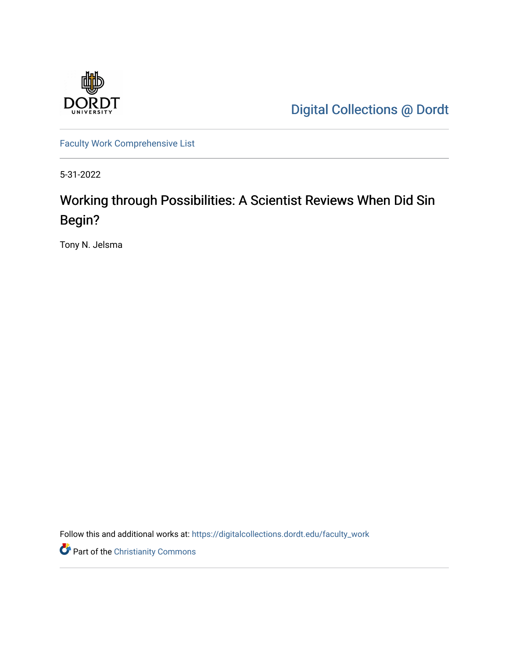

[Digital Collections @ Dordt](https://digitalcollections.dordt.edu/) 

[Faculty Work Comprehensive List](https://digitalcollections.dordt.edu/faculty_work)

5-31-2022

## Working through Possibilities: A Scientist Reviews When Did Sin Begin?

Tony N. Jelsma

Follow this and additional works at: [https://digitalcollections.dordt.edu/faculty\\_work](https://digitalcollections.dordt.edu/faculty_work?utm_source=digitalcollections.dordt.edu%2Ffaculty_work%2F1392&utm_medium=PDF&utm_campaign=PDFCoverPages) 

Part of the [Christianity Commons](https://network.bepress.com/hgg/discipline/1181?utm_source=digitalcollections.dordt.edu%2Ffaculty_work%2F1392&utm_medium=PDF&utm_campaign=PDFCoverPages)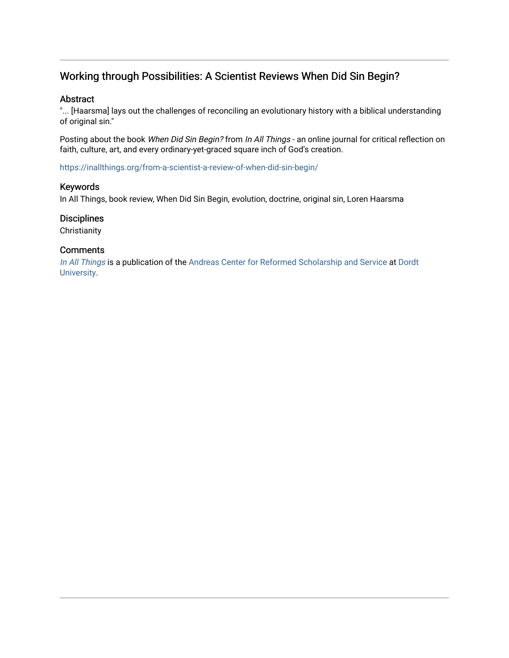## Working through Possibilities: A Scientist Reviews When Did Sin Begin?

#### Abstract

"... [Haarsma] lays out the challenges of reconciling an evolutionary history with a biblical understanding of original sin."

Posting about the book When Did Sin Begin? from In All Things - an online journal for critical reflection on faith, culture, art, and every ordinary-yet-graced square inch of God's creation.

<https://inallthings.org/from-a-scientist-a-review-of-when-did-sin-begin/>

#### Keywords

In All Things, book review, When Did Sin Begin, evolution, doctrine, original sin, Loren Haarsma

#### **Disciplines**

**Christianity** 

#### **Comments**

[In All Things](http://inallthings.org/) is a publication of the [Andreas Center for Reformed Scholarship and Service](http://www.dordt.edu/services_support/andreas_center/) at Dordt [University](http://www.dordt.edu/).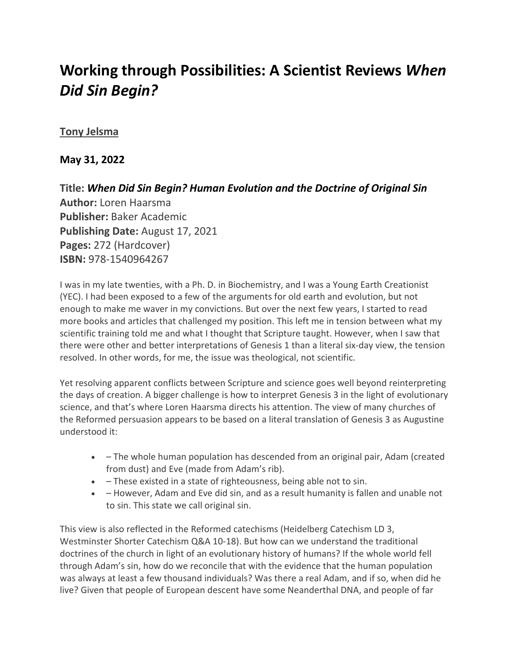# **Working through Possibilities: A Scientist Reviews** *When Did Sin Begin?*

### **[Tony Jelsma](https://inallthings.org/author/tony-jelsma/)**

**May 31, 2022**

**Title:** *[When Did Sin Begin? Human Evolution and the Doctrine of Original Sin](https://www.amazon.com/When-Did-Sin-Begin-Evolution/dp/1540964264/ref=tmm_hrd_swatch_0?_encoding=UTF8&qid=1653861165&sr=8-1)* **Author:** Loren Haarsma **Publisher:** Baker Academic **Publishing Date:** August 17, 2021 **Pages:** 272 (Hardcover) **ISBN:** 978-1540964267

I was in my late twenties, with a Ph. D. in Biochemistry, and I was a Young Earth Creationist (YEC). I had been exposed to a few of the arguments for old earth and evolution, but not enough to make me waver in my convictions. But over the next few years, I started to read more books and articles that challenged my position. This left me in tension between what my scientific training told me and what I thought that Scripture taught. However, when I saw that there were other and better interpretations of Genesis 1 than a literal six-day view, the tension resolved. In other words, for me, the issue was theological, not scientific.

Yet resolving apparent conflicts between Scripture and science goes well beyond reinterpreting the days of creation. A bigger challenge is how to interpret Genesis 3 in the light of evolutionary science, and that's where Loren Haarsma directs his attention. The view of many churches of the Reformed persuasion appears to be based on a literal translation of Genesis 3 as Augustine understood it:

- – The whole human population has descended from an original pair, Adam (created from dust) and Eve (made from Adam's rib).
- – These existed in a state of righteousness, being able not to sin.
- – However, Adam and Eve did sin, and as a result humanity is fallen and unable not to sin. This state we call original sin.

This view is also reflected in the Reformed catechisms (Heidelberg Catechism LD 3, Westminster Shorter Catechism Q&A 10-18). But how can we understand the traditional doctrines of the church in light of an evolutionary history of humans? If the whole world fell through Adam's sin, how do we reconcile that with the evidence that the human population was always at least a few thousand individuals? Was there a real Adam, and if so, when did he live? Given that people of European descent have some Neanderthal DNA, and people of far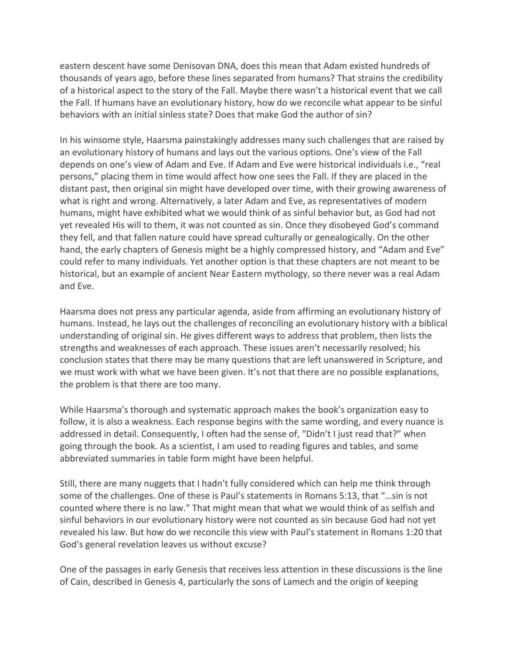eastern descent have some Denisovan DNA, does this mean that Adam existed hundreds of thousands of years ago, before these lines separated from humans? That strains the credibility of a historical aspect to the story of the Fall. Maybe there wasn't a historical event that we call the Fall. If humans have an evolutionary history, how do we reconcile what appear to be sinful behaviors with an initial sinless state? Does that make God the author of sin?

In his winsome style, Haarsma painstakingly addresses many such challenges that are raised by an evolutionary history of humans and lays out the various options. One's view of the Fall depends on one's view of Adam and Eve. If Adam and Eve were historical individuals i.e., "real persons," placing them in time would affect how one sees the Fall. If they are placed in the distant past, then original sin might have developed over time, with their growing awareness of what is right and wrong. Alternatively, a later Adam and Eve, as representatives of modern humans, might have exhibited what we would think of as sinful behavior but, as God had not yet revealed His will to them, it was not counted as sin. Once they disobeyed God's command they fell, and that fallen nature could have spread culturally or genealogically. On the other hand, the early chapters of Genesis might be a highly compressed history, and "Adam and Eve" could refer to many individuals. Yet another option is that these chapters are not meant to be historical, but an example of ancient Near Eastern mythology, so there never was a real Adam and Eve.

Haarsma does not press any particular agenda, aside from affirming an evolutionary history of humans. Instead, he lays out the challenges of reconciling an evolutionary history with a biblical understanding of original sin. He gives different ways to address that problem, then lists the strengths and weaknesses of each approach. These issues aren't necessarily resolved; his conclusion states that there may be many questions that are left unanswered in Scripture, and we must work with what we have been given. It's not that there are no possible explanations, the problem is that there are too many.

While Haarsma's thorough and systematic approach makes the book's organization easy to follow, it is also a weakness. Each response begins with the same wording, and every nuance is addressed in detail. Consequently, I often had the sense of, "Didn't I just read that?" when going through the book. As a scientist, I am used to reading figures and tables, and some abbreviated summaries in table form might have been helpful.

Still, there are many nuggets that I hadn't fully considered which can help me think through some of the challenges. One of these is Paul's statements in Romans 5:13, that "…sin is not counted where there is no law." That might mean that what we would think of as selfish and sinful behaviors in our evolutionary history were not counted as sin because God had not yet revealed his law. But how do we reconcile this view with Paul's statement in Romans 1:20 that God's general revelation leaves us without excuse?

One of the passages in early Genesis that receives less attention in these discussions is the line of Cain, described in Genesis 4, particularly the sons of Lamech and the origin of keeping